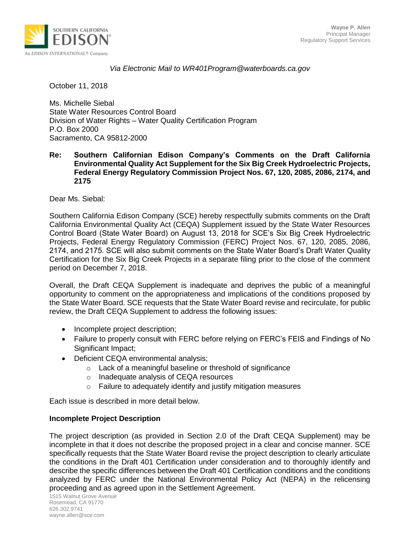

### *Via Electronic Mail to WR401Program@waterboards.ca.gov*

October 11, 2018

Ms. Michelle Siebal State Water Resources Control Board Division of Water Rights – Water Quality Certification Program P.O. Box 2000 Sacramento, CA 95812-2000

#### **Re: Southern Californian Edison Company's Comments on the Draft California Environmental Quality Act Supplement for the Six Big Creek Hydroelectric Projects, Federal Energy Regulatory Commission Project Nos. 67, 120, 2085, 2086, 2174, and 2175**

Dear Ms. Siebal:

Southern California Edison Company (SCE) hereby respectfully submits comments on the Draft California Environmental Quality Act (CEQA) Supplement issued by the State Water Resources Control Board (State Water Board) on August 13, 2018 for SCE's Six Big Creek Hydroelectric Projects, Federal Energy Regulatory Commission (FERC) Project Nos. 67, 120, 2085, 2086, 2174, and 2175. SCE will also submit comments on the State Water Board's Draft Water Quality Certification for the Six Big Creek Projects in a separate filing prior to the close of the comment period on December 7, 2018.

Overall, the Draft CEQA Supplement is inadequate and deprives the public of a meaningful opportunity to comment on the appropriateness and implications of the conditions proposed by the State Water Board. SCE requests that the State Water Board revise and recirculate, for public review, the Draft CEQA Supplement to address the following issues:

- Incomplete project description;
- Failure to properly consult with FERC before relying on FERC's FEIS and Findings of No Significant Impact;
- Deficient CEQA environmental analysis;
	- o Lack of a meaningful baseline or threshold of significance
	- o Inadequate analysis of CEQA resources
	- o Failure to adequately identify and justify mitigation measures

Each issue is described in more detail below.

#### **Incomplete Project Description**

The project description (as provided in Section 2.0 of the Draft CEQA Supplement) may be incomplete in that it does not describe the proposed project in a clear and concise manner. SCE specifically requests that the State Water Board revise the project description to clearly articulate the conditions in the Draft 401 Certification under consideration and to thoroughly identify and describe the specific differences between the Draft 401 Certification conditions and the conditions analyzed by FERC under the National Environmental Policy Act (NEPA) in the relicensing proceeding and as agreed upon in the Settlement Agreement.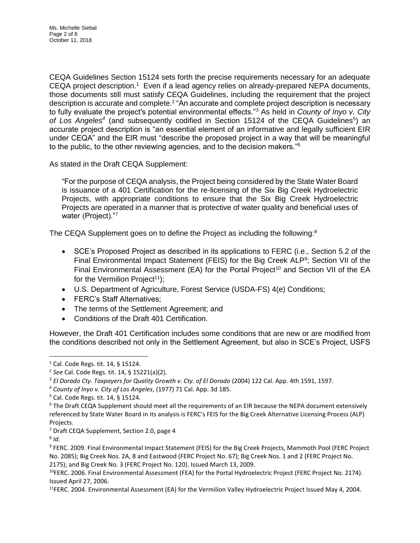CEQA Guidelines Section 15124 sets forth the precise requirements necessary for an adequate CEQA project description.<sup>1</sup> Even if a lead agency relies on already-prepared NEPA documents, those documents still must satisfy CEQA Guidelines, including the requirement that the project description is accurate and complete.<sup>2</sup> "An accurate and complete project description is necessary to fully evaluate the project's potential environmental effects."<sup>3</sup> As held in *County of Inyo v. City*  of Los Angeles<sup>4</sup> (and subsequently codified in Section 15124 of the CEQA Guidelines<sup>5</sup>) an accurate project description is "an essential element of an informative and legally sufficient EIR under CEQA" and the EIR must "describe the proposed project in a way that will be meaningful to the public, to the other reviewing agencies, and to the decision makers."<sup>6</sup>

As stated in the Draft CEQA Supplement:

"For the purpose of CEQA analysis, the Project being considered by the State Water Board is issuance of a 401 Certification for the re-licensing of the Six Big Creek Hydroelectric Projects, with appropriate conditions to ensure that the Six Big Creek Hydroelectric Projects are operated in a manner that is protective of water quality and beneficial uses of water (Project)."7

The CEQA Supplement goes on to define the Project as including the following: $8$ 

- SCE's Proposed Project as described in its applications to FERC (i.e., Section 5.2 of the Final Environmental Impact Statement (FEIS) for the Big Creek ALP<sup>9</sup>; Section VII of the Final Environmental Assessment (EA) for the Portal Project<sup>10</sup> and Section VII of the EA for the Vermilion Project<sup>11</sup>);
- U.S. Department of Agriculture, Forest Service (USDA-FS) 4(e) Conditions;
- FERC's Staff Alternatives;
- The terms of the Settlement Agreement; and
- Conditions of the Draft 401 Certification.

However, the Draft 401 Certification includes some conditions that are new or are modified from the conditions described not only in the Settlement Agreement, but also in SCE's Project, USFS

 $\overline{a}$ 

<sup>10</sup>FERC. 2006. Final Environmental Assessment (FEA) for the Portal Hydroelectric Project (FERC Project No. 2174). Issued April 27, 2006.

<sup>11</sup>FERC. 2004. Environmental Assessment (EA) for the Vermilion Valley Hydroelectric Project Issued May 4, 2004.

 $1$  Cal. Code Regs. tit. 14, § 15124.

<sup>2</sup> *See* Cal. Code Regs. tit. 14, § 15221(a)(2).

<sup>3</sup> *El Dorado Cty. Taxpayers for Quality Growth v. Cty. of El Dorado* (2004) 122 Cal. App. 4th 1591, 1597.

<sup>4</sup> *County of Inyo v. City of Los Angeles*, (1977) 71 Cal. App. 3d 185.

 $5$  Cal. Code Regs. tit. 14, § 15124.

<sup>6</sup> The Draft CEQA Supplement should meet all the requirements of an EIR because the NEPA document extensively referenced by State Water Board in its analysis is FERC's FEIS for the Big Creek Alternative Licensing Process (ALP) Projects.

<sup>7</sup> Draft CEQA Supplement, Section 2.0, page 4

<sup>8</sup> *Id.*

<sup>9</sup> FERC. 2009. Final Environmental Impact Statement (FEIS) for the Big Creek Projects, Mammoth Pool (FERC Project No. 2085); Big Creek Nos. 2A, 8 and Eastwood (FERC Project No. 67); Big Creek Nos. 1 and 2 (FERC Project No. 2175); and Big Creek No. 3 (FERC Project No. 120). Issued March 13, 2009.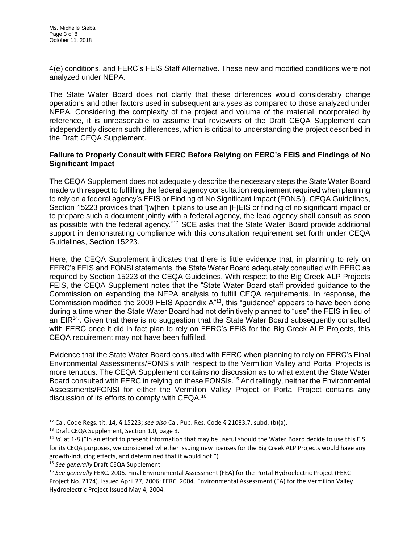4(e) conditions, and FERC's FEIS Staff Alternative. These new and modified conditions were not analyzed under NEPA.

The State Water Board does not clarify that these differences would considerably change operations and other factors used in subsequent analyses as compared to those analyzed under NEPA. Considering the complexity of the project and volume of the material incorporated by reference, it is unreasonable to assume that reviewers of the Draft CEQA Supplement can independently discern such differences, which is critical to understanding the project described in the Draft CEQA Supplement.

## **Failure to Properly Consult with FERC Before Relying on FERC's FEIS and Findings of No Significant Impact**

The CEQA Supplement does not adequately describe the necessary steps the State Water Board made with respect to fulfilling the federal agency consultation requirement required when planning to rely on a federal agency's FEIS or Finding of No Significant Impact (FONSI). CEQA Guidelines, Section 15223 provides that "[w]hen it plans to use an [F]EIS or finding of no significant impact or to prepare such a document jointly with a federal agency, the lead agency shall consult as soon as possible with the federal agency."<sup>12</sup> SCE asks that the State Water Board provide additional support in demonstrating compliance with this consultation requirement set forth under CEQA Guidelines, Section 15223.

Here, the CEQA Supplement indicates that there is little evidence that, in planning to rely on FERC's FEIS and FONSI statements, the State Water Board adequately consulted with FERC as required by Section 15223 of the CEQA Guidelines. With respect to the Big Creek ALP Projects FEIS, the CEQA Supplement notes that the "State Water Board staff provided guidance to the Commission on expanding the NEPA analysis to fulfill CEQA requirements. In response, the Commission modified the 2009 FEIS Appendix A<sup>"13</sup>, this "guidance" appears to have been done during a time when the State Water Board had not definitively planned to "use" the FEIS in lieu of an EIR<sup>14</sup>. Given that there is no suggestion that the State Water Board subsequently consulted with FERC once it did in fact plan to rely on FERC's FEIS for the Big Creek ALP Projects, this CEQA requirement may not have been fulfilled.

Evidence that the State Water Board consulted with FERC when planning to rely on FERC's Final Environmental Assessments/FONSIs with respect to the Vermilion Valley and Portal Projects is more tenuous. The CEQA Supplement contains no discussion as to what extent the State Water Board consulted with FERC in relying on these FONSIs.<sup>15</sup> And tellingly, neither the Environmental Assessments/FONSI for either the Vermilion Valley Project or Portal Project contains any discussion of its efforts to comply with CEQA.<sup>16</sup>

l

<sup>12</sup> Cal. Code Regs. tit. 14, § 15223; *see also* Cal. Pub. Res. Code § 21083.7, subd. (b)(a).

<sup>&</sup>lt;sup>13</sup> Draft CEQA Supplement, Section 1.0, page 3.

<sup>&</sup>lt;sup>14</sup> *Id.* at 1-8 ("In an effort to present information that may be useful should the Water Board decide to use this EIS for its CEQA purposes, we considered whether issuing new licenses for the Big Creek ALP Projects would have any growth-inducing effects, and determined that it would not.")

<sup>15</sup> *See generally* Draft CEQA Supplement

<sup>16</sup> *See generally* FERC. 2006. Final Environmental Assessment (FEA) for the Portal Hydroelectric Project (FERC Project No. 2174). Issued April 27, 2006; FERC. 2004. Environmental Assessment (EA) for the Vermilion Valley Hydroelectric Project Issued May 4, 2004.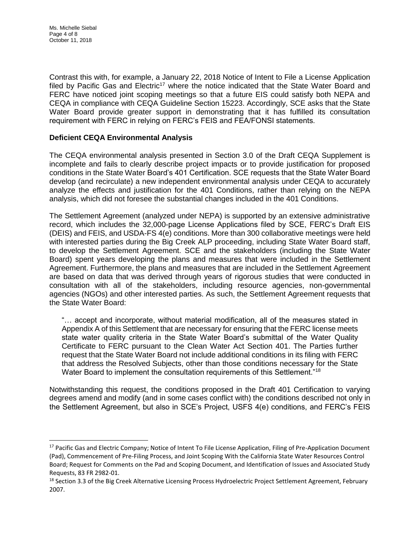$\overline{a}$ 

Contrast this with, for example, a January 22, 2018 Notice of Intent to File a License Application filed by Pacific Gas and Electric<sup>17</sup> where the notice indicated that the State Water Board and FERC have noticed joint scoping meetings so that a future EIS could satisfy both NEPA and CEQA in compliance with CEQA Guideline Section 15223. Accordingly, SCE asks that the State Water Board provide greater support in demonstrating that it has fulfilled its consultation requirement with FERC in relying on FERC's FEIS and FEA/FONSI statements.

## **Deficient CEQA Environmental Analysis**

The CEQA environmental analysis presented in Section 3.0 of the Draft CEQA Supplement is incomplete and fails to clearly describe project impacts or to provide justification for proposed conditions in the State Water Board's 401 Certification. SCE requests that the State Water Board develop (and recirculate) a new independent environmental analysis under CEQA to accurately analyze the effects and justification for the 401 Conditions, rather than relying on the NEPA analysis, which did not foresee the substantial changes included in the 401 Conditions.

The Settlement Agreement (analyzed under NEPA) is supported by an extensive administrative record, which includes the 32,000-page License Applications filed by SCE, FERC's Draft EIS (DEIS) and FEIS, and USDA-FS 4(e) conditions. More than 300 collaborative meetings were held with interested parties during the Big Creek ALP proceeding, including State Water Board staff, to develop the Settlement Agreement. SCE and the stakeholders (including the State Water Board) spent years developing the plans and measures that were included in the Settlement Agreement. Furthermore, the plans and measures that are included in the Settlement Agreement are based on data that was derived through years of rigorous studies that were conducted in consultation with all of the stakeholders, including resource agencies, non-governmental agencies (NGOs) and other interested parties. As such, the Settlement Agreement requests that the State Water Board:

"… accept and incorporate, without material modification, all of the measures stated in Appendix A of this Settlement that are necessary for ensuring that the FERC license meets state water quality criteria in the State Water Board's submittal of the Water Quality Certificate to FERC pursuant to the Clean Water Act Section 401. The Parties further request that the State Water Board not include additional conditions in its filing with FERC that address the Resolved Subjects, other than those conditions necessary for the State Water Board to implement the consultation requirements of this Settlement."<sup>18</sup>

Notwithstanding this request, the conditions proposed in the Draft 401 Certification to varying degrees amend and modify (and in some cases conflict with) the conditions described not only in the Settlement Agreement, but also in SCE's Project, USFS 4(e) conditions, and FERC's FEIS

<sup>&</sup>lt;sup>17</sup> Pacific Gas and Electric Company; Notice of Intent To File License Application, Filing of Pre-Application Document (Pad), Commencement of Pre-Filing Process, and Joint Scoping With the California State Water Resources Control Board; Request for Comments on the Pad and Scoping Document, and Identification of Issues and Associated Study Requests, 83 FR 2982-01.

<sup>&</sup>lt;sup>18</sup> Section 3.3 of the Big Creek Alternative Licensing Process Hydroelectric Project Settlement Agreement, February 2007.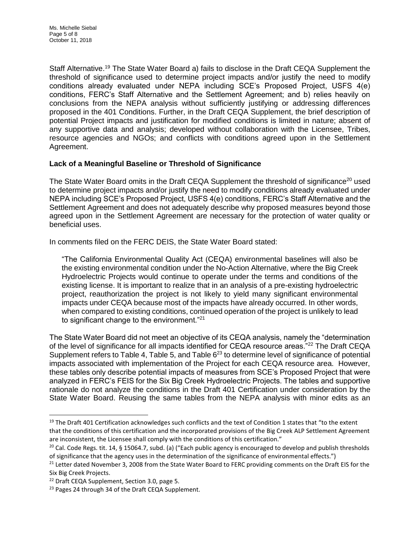Staff Alternative.<sup>19</sup> The State Water Board a) fails to disclose in the Draft CEQA Supplement the threshold of significance used to determine project impacts and/or justify the need to modify conditions already evaluated under NEPA including SCE's Proposed Project, USFS 4(e) conditions, FERC's Staff Alternative and the Settlement Agreement; and b) relies heavily on conclusions from the NEPA analysis without sufficiently justifying or addressing differences proposed in the 401 Conditions. Further, in the Draft CEQA Supplement, the brief description of potential Project impacts and justification for modified conditions is limited in nature; absent of any supportive data and analysis; developed without collaboration with the Licensee, Tribes, resource agencies and NGOs; and conflicts with conditions agreed upon in the Settlement Agreement.

## **Lack of a Meaningful Baseline or Threshold of Significance**

The State Water Board omits in the Draft CEQA Supplement the threshold of significance<sup>20</sup> used to determine project impacts and/or justify the need to modify conditions already evaluated under NEPA including SCE's Proposed Project, USFS 4(e) conditions, FERC's Staff Alternative and the Settlement Agreement and does not adequately describe why proposed measures beyond those agreed upon in the Settlement Agreement are necessary for the protection of water quality or beneficial uses.

In comments filed on the FERC DEIS, the State Water Board stated:

"The California Environmental Quality Act (CEQA) environmental baselines will also be the existing environmental condition under the No-Action Alternative, where the Big Creek Hydroelectric Projects would continue to operate under the terms and conditions of the existing license. It is important to realize that in an analysis of a pre-existing hydroelectric project, reauthorization the project is not likely to yield many significant environmental impacts under CEQA because most of the impacts have already occurred. In other words, when compared to existing conditions, continued operation of the project is unlikely to lead to significant change to the environment."<sup>21</sup>

The State Water Board did not meet an objective of its CEQA analysis, namely the "determination of the level of significance for all impacts identified for CEQA resource areas."<sup>22</sup> The Draft CEQA Supplement refers to Table 4, Table 5, and Table  $6^{23}$  to determine level of significance of potential impacts associated with implementation of the Project for each CEQA resource area. However, these tables only describe potential impacts of measures from SCE's Proposed Project that were analyzed in FERC's FEIS for the Six Big Creek Hydroelectric Projects. The tables and supportive rationale do not analyze the conditions in the Draft 401 Certification under consideration by the State Water Board. Reusing the same tables from the NEPA analysis with minor edits as an

l

 $19$  The Draft 401 Certification acknowledges such conflicts and the text of Condition 1 states that "to the extent that the conditions of this certification and the incorporated provisions of the Big Creek ALP Settlement Agreement are inconsistent, the Licensee shall comply with the conditions of this certification."

<sup>&</sup>lt;sup>20</sup> Cal. Code Regs. tit. 14, § 15064.7, subd. (a) ("Each public agency is encouraged to develop and publish thresholds of significance that the agency uses in the determination of the significance of environmental effects.")

<sup>&</sup>lt;sup>21</sup> Letter dated November 3, 2008 from the State Water Board to FERC providing comments on the Draft EIS for the Six Big Creek Projects.

<sup>&</sup>lt;sup>22</sup> Draft CEQA Supplement, Section 3.0, page 5.

<sup>&</sup>lt;sup>23</sup> Pages 24 through 34 of the Draft CEQA Supplement.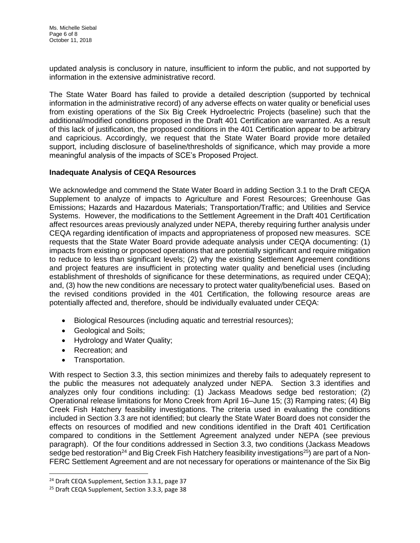updated analysis is conclusory in nature, insufficient to inform the public, and not supported by information in the extensive administrative record.

The State Water Board has failed to provide a detailed description (supported by technical information in the administrative record) of any adverse effects on water quality or beneficial uses from existing operations of the Six Big Creek Hydroelectric Projects (baseline) such that the additional/modified conditions proposed in the Draft 401 Certification are warranted. As a result of this lack of justification, the proposed conditions in the 401 Certification appear to be arbitrary and capricious. Accordingly, we request that the State Water Board provide more detailed support, including disclosure of baseline/thresholds of significance, which may provide a more meaningful analysis of the impacts of SCE's Proposed Project.

#### **Inadequate Analysis of CEQA Resources**

We acknowledge and commend the State Water Board in adding Section 3.1 to the Draft CEQA Supplement to analyze of impacts to Agriculture and Forest Resources; Greenhouse Gas Emissions; Hazards and Hazardous Materials; Transportation/Traffic; and Utilities and Service Systems. However, the modifications to the Settlement Agreement in the Draft 401 Certification affect resources areas previously analyzed under NEPA, thereby requiring further analysis under CEQA regarding identification of impacts and appropriateness of proposed new measures. SCE requests that the State Water Board provide adequate analysis under CEQA documenting: (1) impacts from existing or proposed operations that are potentially significant and require mitigation to reduce to less than significant levels; (2) why the existing Settlement Agreement conditions and project features are insufficient in protecting water quality and beneficial uses (including establishment of thresholds of significance for these determinations, as required under CEQA); and, (3) how the new conditions are necessary to protect water quality/beneficial uses. Based on the revised conditions provided in the 401 Certification, the following resource areas are potentially affected and, therefore, should be individually evaluated under CEQA:

- Biological Resources (including aquatic and terrestrial resources);
- Geological and Soils;
- Hydrology and Water Quality;
- Recreation; and
- Transportation.

l

With respect to Section 3.3, this section minimizes and thereby fails to adequately represent to the public the measures not adequately analyzed under NEPA. Section 3.3 identifies and analyzes only four conditions including: (1) Jackass Meadows sedge bed restoration; (2) Operational release limitations for Mono Creek from April 16–June 15; (3) Ramping rates; (4) Big Creek Fish Hatchery feasibility investigations. The criteria used in evaluating the conditions included in Section 3.3 are not identified; but clearly the State Water Board does not consider the effects on resources of modified and new conditions identified in the Draft 401 Certification compared to conditions in the Settlement Agreement analyzed under NEPA (see previous paragraph). Of the four conditions addressed in Section 3.3, two conditions (Jackass Meadows sedge bed restoration<sup>24</sup> and Big Creek Fish Hatchery feasibility investigations<sup>25</sup>) are part of a Non-FERC Settlement Agreement and are not necessary for operations or maintenance of the Six Big

<sup>&</sup>lt;sup>24</sup> Draft CEQA Supplement, Section 3.3.1, page 37

<sup>&</sup>lt;sup>25</sup> Draft CEQA Supplement, Section 3.3.3, page 38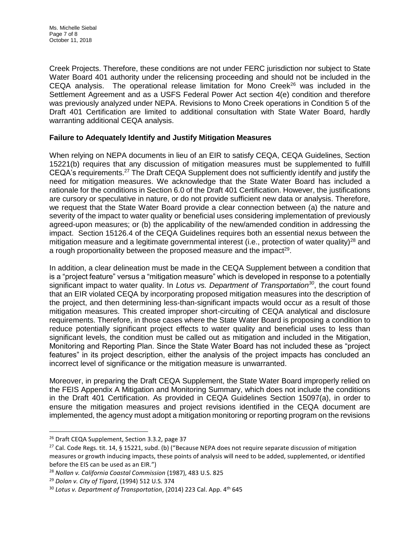Creek Projects. Therefore, these conditions are not under FERC jurisdiction nor subject to State Water Board 401 authority under the relicensing proceeding and should not be included in the CEQA analysis. The operational release limitation for Mono Creek $^{26}$  was included in the Settlement Agreement and as a USFS Federal Power Act section 4(e) condition and therefore was previously analyzed under NEPA. Revisions to Mono Creek operations in Condition 5 of the Draft 401 Certification are limited to additional consultation with State Water Board, hardly warranting additional CEQA analysis.

# **Failure to Adequately Identify and Justify Mitigation Measures**

When relying on NEPA documents in lieu of an EIR to satisfy CEQA, CEQA Guidelines, Section 15221(b) requires that any discussion of mitigation measures must be supplemented to fulfill CEQA's requirements.<sup>27</sup> The Draft CEQA Supplement does not sufficiently identify and justify the need for mitigation measures. We acknowledge that the State Water Board has included a rationale for the conditions in Section 6.0 of the Draft 401 Certification. However, the justifications are cursory or speculative in nature, or do not provide sufficient new data or analysis. Therefore, we request that the State Water Board provide a clear connection between (a) the nature and severity of the impact to water quality or beneficial uses considering implementation of previously agreed-upon measures; or (b) the applicability of the new/amended condition in addressing the impact. Section 15126.4 of the CEQA Guidelines requires both an essential nexus between the mitigation measure and a legitimate governmental interest (i.e., protection of water quality)<sup>28</sup> and a rough proportionality between the proposed measure and the impact<sup>29</sup>.

In addition, a clear delineation must be made in the CEQA Supplement between a condition that is a "project feature" versus a "mitigation measure" which is developed in response to a potentially significant impact to water quality. In *Lotus vs. Department of Transportation<sup>30</sup>*, the court found that an EIR violated CEQA by incorporating proposed mitigation measures into the description of the project, and then determining less-than-significant impacts would occur as a result of those mitigation measures. This created improper short-circuiting of CEQA analytical and disclosure requirements. Therefore, in those cases where the State Water Board is proposing a condition to reduce potentially significant project effects to water quality and beneficial uses to less than significant levels, the condition must be called out as mitigation and included in the Mitigation, Monitoring and Reporting Plan. Since the State Water Board has not included these as "project features" in its project description, either the analysis of the project impacts has concluded an incorrect level of significance or the mitigation measure is unwarranted.

Moreover, in preparing the Draft CEQA Supplement, the State Water Board improperly relied on the FEIS Appendix A Mitigation and Monitoring Summary, which does not include the conditions in the Draft 401 Certification. As provided in CEQA Guidelines Section 15097(a), in order to ensure the mitigation measures and project revisions identified in the CEQA document are implemented, the agency must adopt a mitigation monitoring or reporting program on the revisions

l

<sup>&</sup>lt;sup>26</sup> Draft CEQA Supplement, Section 3.3.2, page 37

<sup>&</sup>lt;sup>27</sup> Cal. Code Regs. tit. 14, § 15221, subd. (b) ("Because NEPA does not require separate discussion of mitigation measures or growth inducing impacts, these points of analysis will need to be added, supplemented, or identified before the EIS can be used as an EIR.")

<sup>28</sup> *Nollan v. California Coastal Commission* (1987), 483 U.S. 825

<sup>29</sup> *Dolan v. City of Tigard*, (1994) 512 U.S. 374

<sup>30</sup> *Lotus v. Department of Transportation*, (2014) 223 Cal. App. 4th 645